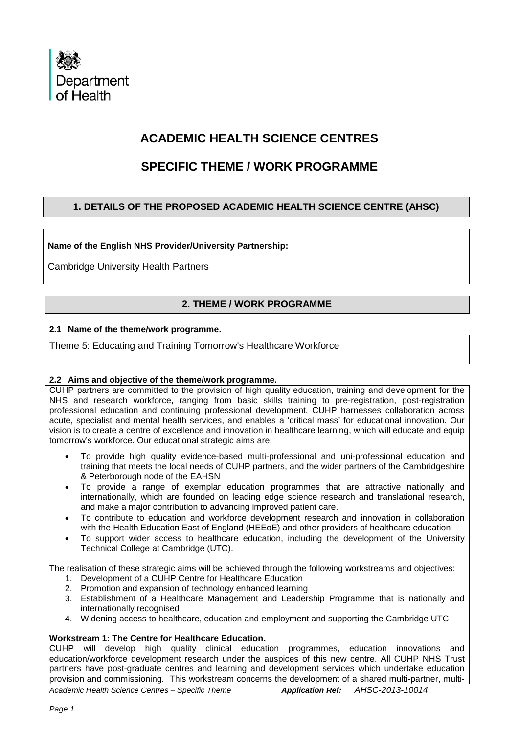

# **ACADEMIC HEALTH SCIENCE CENTRES**

# **SPECIFIC THEME / WORK PROGRAMME**

# **1. DETAILS OF THE PROPOSED ACADEMIC HEALTH SCIENCE CENTRE (AHSC)**

**Name of the English NHS Provider/University Partnership:**

Cambridge University Health Partners

# **2. THEME / WORK PROGRAMME**

## **2.1 Name of the theme/work programme.**

Theme 5: Educating and Training Tomorrow's Healthcare Workforce

# **2.2 Aims and objective of the theme/work programme.**

CUHP partners are committed to the provision of high quality education, training and development for the NHS and research workforce, ranging from basic skills training to pre-registration, post-registration professional education and continuing professional development. CUHP harnesses collaboration across acute, specialist and mental health services, and enables a 'critical mass' for educational innovation. Our vision is to create a centre of excellence and innovation in healthcare learning, which will educate and equip tomorrow's workforce. Our educational strategic aims are:

- To provide high quality evidence-based multi-professional and uni-professional education and training that meets the local needs of CUHP partners, and the wider partners of the Cambridgeshire & Peterborough node of the EAHSN
- To provide a range of exemplar education programmes that are attractive nationally and internationally, which are founded on leading edge science research and translational research, and make a major contribution to advancing improved patient care.
- To contribute to education and workforce development research and innovation in collaboration with the Health Education East of England (HEEoE) and other providers of healthcare education
- To support wider access to healthcare education, including the development of the University Technical College at Cambridge (UTC).

The realisation of these strategic aims will be achieved through the following workstreams and objectives:

- 1. Development of a CUHP Centre for Healthcare Education
- 2. Promotion and expansion of technology enhanced learning
- 3. Establishment of a Healthcare Management and Leadership Programme that is nationally and internationally recognised
- 4. Widening access to healthcare, education and employment and supporting the Cambridge UTC

# **Workstream 1: The Centre for Healthcare Education.**

CUHP will develop high quality clinical education programmes, education innovations and education/workforce development research under the auspices of this new centre. All CUHP NHS Trust partners have post-graduate centres and learning and development services which undertake education provision and commissioning. This workstream concerns the development of a shared multi-partner, multi-

*Academic Health Science Centres – Specific Theme Application Ref: AHSC-2013-10014*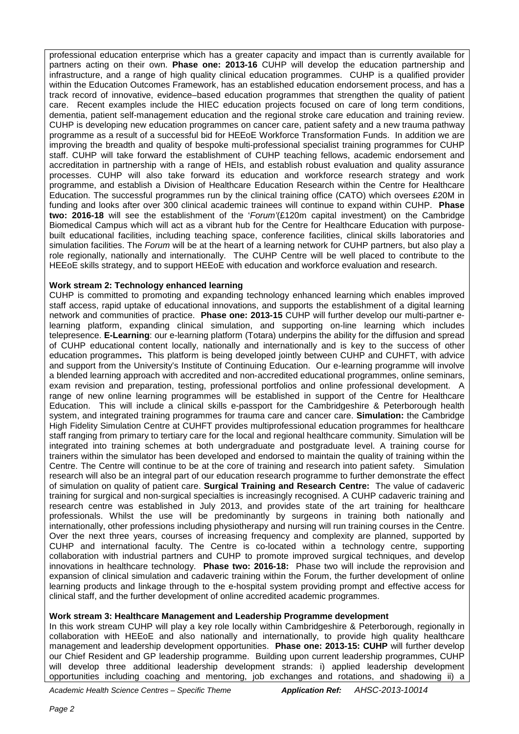professional education enterprise which has a greater capacity and impact than is currently available for partners acting on their own. **Phase one: 2013-16** CUHP will develop the education partnership and infrastructure, and a range of high quality clinical education programmes. CUHP is a qualified provider within the Education Outcomes Framework, has an established education endorsement process, and has a track record of innovative, evidence–based education programmes that strengthen the quality of patient care. Recent examples include the HIEC education projects focused on care of long term conditions, dementia, patient self-management education and the regional stroke care education and training review. CUHP is developing new education programmes on cancer care, patient safety and a new trauma pathway programme as a result of a successful bid for HEEoE Workforce Transformation Funds. In addition we are improving the breadth and quality of bespoke multi-professional specialist training programmes for CUHP staff. CUHP will take forward the establishment of CUHP teaching fellows, academic endorsement and accreditation in partnership with a range of HEIs, and establish robust evaluation and quality assurance processes. CUHP will also take forward its education and workforce research strategy and work programme, and establish a Division of Healthcare Education Research within the Centre for Healthcare Education. The successful programmes run by the clinical training office (CATO) which oversees £20M in funding and looks after over 300 clinical academic trainees will continue to expand within CUHP. **Phase two: 2016-18** will see the establishment of the '*Forum'*(£120m capital investment) on the Cambridge Biomedical Campus which will act as a vibrant hub for the Centre for Healthcare Education with purposebuilt educational facilities, including teaching space, conference facilities, clinical skills laboratories and simulation facilities. The *Forum* will be at the heart of a learning network for CUHP partners, but also play a role regionally, nationally and internationally. The CUHP Centre will be well placed to contribute to the HEEoE skills strategy, and to support HEEoE with education and workforce evaluation and research.

## **Work stream 2: Technology enhanced learning**

CUHP is committed to promoting and expanding technology enhanced learning which enables improved staff access, rapid uptake of educational innovations, and supports the establishment of a digital learning network and communities of practice. **Phase one: 2013-15** CUHP will further develop our multi-partner elearning platform, expanding clinical simulation, and supporting on-line learning which includes telepresence. **E-Learning**: our e-learning platform (Totara) underpins the ability for the diffusion and spread of CUHP educational content locally, nationally and internationally and is key to the success of other education programmes**.** This platform is being developed jointly between CUHP and CUHFT, with advice and support from the University's Institute of Continuing Education. Our e-learning programme will involve a blended learning approach with accredited and non-accredited educational programmes, online seminars, exam revision and preparation, testing, professional portfolios and online professional development. A range of new online learning programmes will be established in support of the Centre for Healthcare Education. This will include a clinical skills e-passport for the Cambridgeshire & Peterborough health system, and integrated training programmes for trauma care and cancer care. **Simulation:** the Cambridge High Fidelity Simulation Centre at CUHFT provides multiprofessional education programmes for healthcare staff ranging from primary to tertiary care for the local and regional healthcare community. Simulation will be integrated into training schemes at both undergraduate and postgraduate level. A training course for trainers within the simulator has been developed and endorsed to maintain the quality of training within the Centre. The Centre will continue to be at the core of training and research into patient safety. Simulation research will also be an integral part of our education research programme to further demonstrate the effect of simulation on quality of patient care. **Surgical Training and Research Centre:** The value of cadaveric training for surgical and non-surgical specialties is increasingly recognised. A CUHP cadaveric training and research centre was established in July 2013, and provides state of the art training for healthcare professionals. Whilst the use will be predominantly by surgeons in training both nationally and internationally, other professions including physiotherapy and nursing will run training courses in the Centre. Over the next three years, courses of increasing frequency and complexity are planned, supported by CUHP and international faculty. The Centre is co-located within a technology centre, supporting collaboration with industrial partners and CUHP to promote improved surgical techniques, and develop innovations in healthcare technology. **Phase two: 2016-18:** Phase two will include the reprovision and expansion of clinical simulation and cadaveric training within the Forum, the further development of online learning products and linkage through to the e-hospital system providing prompt and effective access for clinical staff, and the further development of online accredited academic programmes.

#### **Work stream 3: Healthcare Management and Leadership Programme development**

In this work stream CUHP will play a key role locally within Cambridgeshire & Peterborough, regionally in collaboration with HEEoE and also nationally and internationally, to provide high quality healthcare management and leadership development opportunities. **Phase one: 2013-15: CUHP** will further develop our Chief Resident and GP leadership programme. Building upon current leadership programmes, CUHP will develop three additional leadership development strands: i) applied leadership development opportunities including coaching and mentoring, job exchanges and rotations, and shadowing ii) a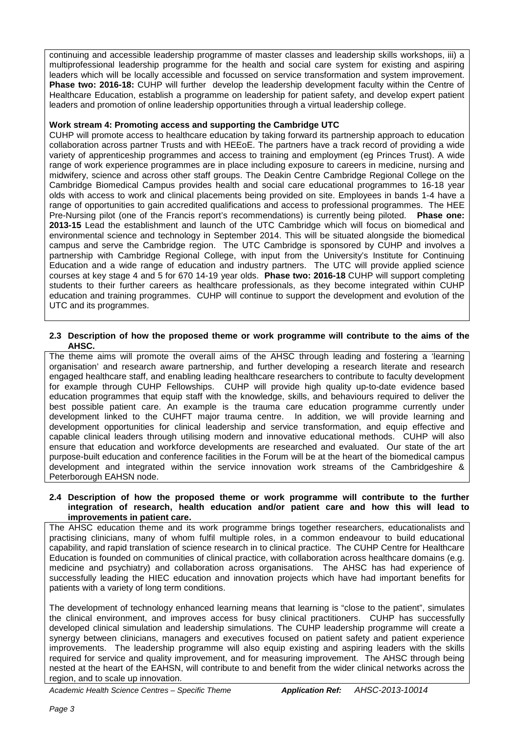continuing and accessible leadership programme of master classes and leadership skills workshops, iii) a multiprofessional leadership programme for the health and social care system for existing and aspiring leaders which will be locally accessible and focussed on service transformation and system improvement. **Phase two: 2016-18:** CUHP will further develop the leadership development faculty within the Centre of Healthcare Education, establish a programme on leadership for patient safety, and develop expert patient leaders and promotion of online leadership opportunities through a virtual leadership college.

## **Work stream 4: Promoting access and supporting the Cambridge UTC**

CUHP will promote access to healthcare education by taking forward its partnership approach to education collaboration across partner Trusts and with HEEoE. The partners have a track record of providing a wide variety of apprenticeship programmes and access to training and employment (eg Princes Trust). A wide range of work experience programmes are in place including exposure to careers in medicine, nursing and midwifery, science and across other staff groups. The Deakin Centre Cambridge Regional College on the Cambridge Biomedical Campus provides health and social care educational programmes to 16-18 year olds with access to work and clinical placements being provided on site. Employees in bands 1-4 have a range of opportunities to gain accredited qualifications and access to professional programmes. The HEE Pre-Nursing pilot (one of the Francis report's recommendations) is currently being piloted. **Phase one: 2013-15** Lead the establishment and launch of the UTC Cambridge which will focus on biomedical and environmental science and technology in September 2014. This will be situated alongside the biomedical campus and serve the Cambridge region. The UTC Cambridge is sponsored by CUHP and involves a partnership with Cambridge Regional College, with input from the University's Institute for Continuing Education and a wide range of education and industry partners. The UTC will provide applied science courses at key stage 4 and 5 for 670 14-19 year olds. **Phase two: 2016-18** CUHP will support completing students to their further careers as healthcare professionals, as they become integrated within CUHP education and training programmes. CUHP will continue to support the development and evolution of the UTC and its programmes.

#### **2.3 Description of how the proposed theme or work programme will contribute to the aims of the AHSC.**

The theme aims will promote the overall aims of the AHSC through leading and fostering a 'learning organisation' and research aware partnership, and further developing a research literate and research engaged healthcare staff, and enabling leading healthcare researchers to contribute to faculty development for example through CUHP Fellowships. CUHP will provide high quality up-to-date evidence based education programmes that equip staff with the knowledge, skills, and behaviours required to deliver the best possible patient care. An example is the trauma care education programme currently under development linked to the CUHFT major trauma centre. In addition, we will provide learning and development opportunities for clinical leadership and service transformation, and equip effective and capable clinical leaders through utilising modern and innovative educational methods. CUHP will also ensure that education and workforce developments are researched and evaluated. Our state of the art purpose-built education and conference facilities in the Forum will be at the heart of the biomedical campus development and integrated within the service innovation work streams of the Cambridgeshire & Peterborough EAHSN node.

#### **2.4 Description of how the proposed theme or work programme will contribute to the further integration of research, health education and/or patient care and how this will lead to improvements in patient care.**

The AHSC education theme and its work programme brings together researchers, educationalists and practising clinicians, many of whom fulfil multiple roles, in a common endeavour to build educational capability, and rapid translation of science research in to clinical practice. The CUHP Centre for Healthcare Education is founded on communities of clinical practice, with collaboration across healthcare domains (e.g. medicine and psychiatry) and collaboration across organisations. The AHSC has had experience of successfully leading the HIEC education and innovation projects which have had important benefits for patients with a variety of long term conditions.

The development of technology enhanced learning means that learning is "close to the patient", simulates the clinical environment, and improves access for busy clinical practitioners. CUHP has successfully developed clinical simulation and leadership simulations. The CUHP leadership programme will create a synergy between clinicians, managers and executives focused on patient safety and patient experience improvements. The leadership programme will also equip existing and aspiring leaders with the skills required for service and quality improvement, and for measuring improvement. The AHSC through being nested at the heart of the EAHSN, will contribute to and benefit from the wider clinical networks across the region, and to scale up innovation.

*Academic Health Science Centres – Specific Theme Application Ref: AHSC-2013-10014*